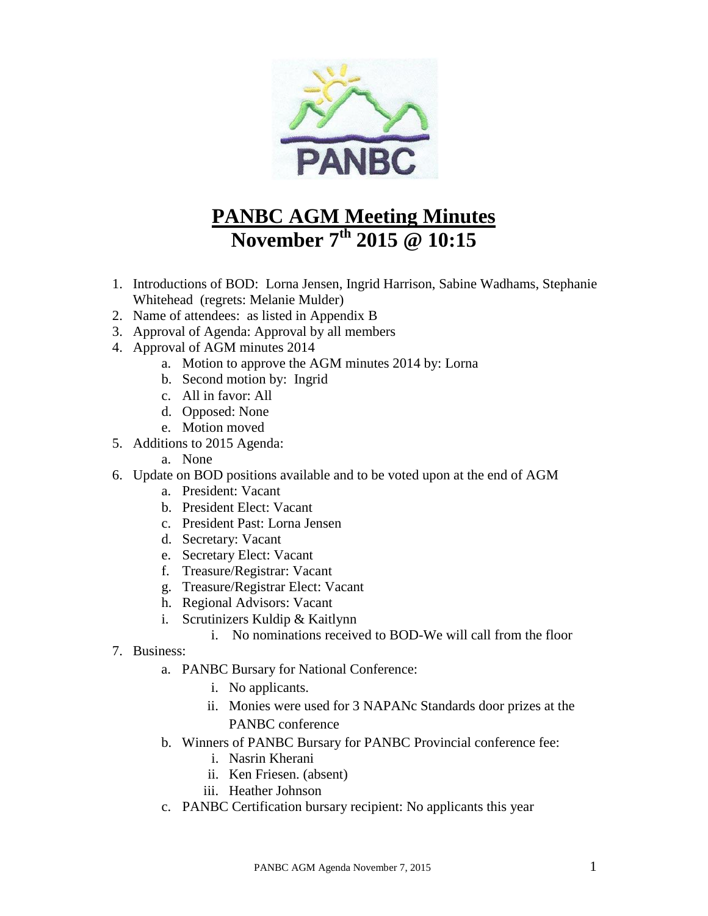

# **PANBC AGM Meeting Minutes November 7 th 2015 @ 10:15**

- 1. Introductions of BOD: Lorna Jensen, Ingrid Harrison, Sabine Wadhams, Stephanie Whitehead (regrets: Melanie Mulder)
- 2. Name of attendees: as listed in Appendix B
- 3. Approval of Agenda: Approval by all members
- 4. Approval of AGM minutes 2014
	- a. Motion to approve the AGM minutes 2014 by: Lorna
	- b. Second motion by: Ingrid
	- c. All in favor: All
	- d. Opposed: None
	- e. Motion moved
- 5. Additions to 2015 Agenda:
	- a. None
- 6. Update on BOD positions available and to be voted upon at the end of AGM
	- a. President: Vacant
	- b. President Elect: Vacant
	- c. President Past: Lorna Jensen
	- d. Secretary: Vacant
	- e. Secretary Elect: Vacant
	- f. Treasure/Registrar: Vacant
	- g. Treasure/Registrar Elect: Vacant
	- h. Regional Advisors: Vacant
	- i. Scrutinizers Kuldip & Kaitlynn
		- i. No nominations received to BOD-We will call from the floor
- 7. Business:
	- a. PANBC Bursary for National Conference:
		- i. No applicants.
		- ii. Monies were used for 3 NAPANc Standards door prizes at the PANBC conference
	- b. Winners of PANBC Bursary for PANBC Provincial conference fee:
		- i. Nasrin Kherani
		- ii. Ken Friesen. (absent)
		- iii. Heather Johnson
	- c. PANBC Certification bursary recipient: No applicants this year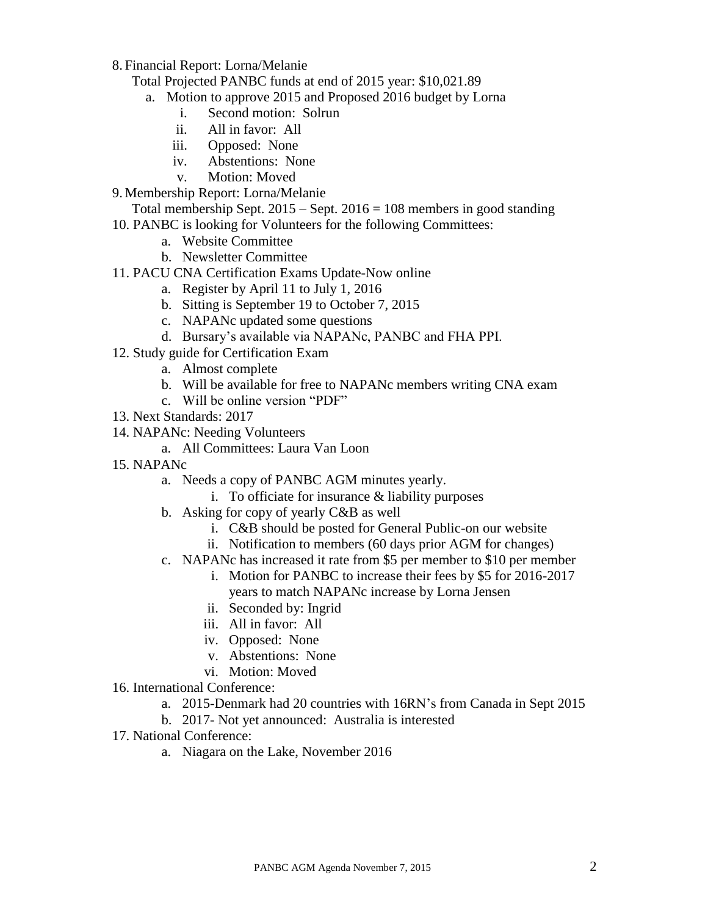8. Financial Report: Lorna/Melanie

Total Projected PANBC funds at end of 2015 year: \$10,021.89

- a. Motion to approve 2015 and Proposed 2016 budget by Lorna
	- i. Second motion: Solrun
	- ii. All in favor: All
	- iii. Opposed: None
	- iv. Abstentions: None
	- v. Motion: Moved
- 9. Membership Report: Lorna/Melanie
	- Total membership Sept.  $2015 -$ Sept.  $2016 = 108$  members in good standing
- 10. PANBC is looking for Volunteers for the following Committees:
	- a. Website Committee
	- b. Newsletter Committee
- 11. PACU CNA Certification Exams Update-Now online
	- a. Register by April 11 to July 1, 2016
	- b. Sitting is September 19 to October 7, 2015
	- c. NAPANc updated some questions
	- d. Bursary's available via NAPANc, PANBC and FHA PPI.
- 12. Study guide for Certification Exam
	- a. Almost complete
	- b. Will be available for free to NAPANc members writing CNA exam
	- c. Will be online version "PDF"
- 13. Next Standards: 2017
- 14. NAPANc: Needing Volunteers
	- a. All Committees: Laura Van Loon
- 15. NAPANc
	- a. Needs a copy of PANBC AGM minutes yearly.
		- i. To officiate for insurance  $&$  liability purposes
	- b. Asking for copy of yearly C&B as well
		- i. C&B should be posted for General Public-on our website
		- ii. Notification to members (60 days prior AGM for changes)
	- c. NAPANc has increased it rate from \$5 per member to \$10 per member
		- i. Motion for PANBC to increase their fees by \$5 for 2016-2017 years to match NAPANc increase by Lorna Jensen
		- ii. Seconded by: Ingrid
		- iii. All in favor: All
		- iv. Opposed: None
		- v. Abstentions: None
		- vi. Motion: Moved
- 16. International Conference:
	- a. 2015-Denmark had 20 countries with 16RN's from Canada in Sept 2015
	- b. 2017- Not yet announced: Australia is interested
- 17. National Conference:
	- a. Niagara on the Lake, November 2016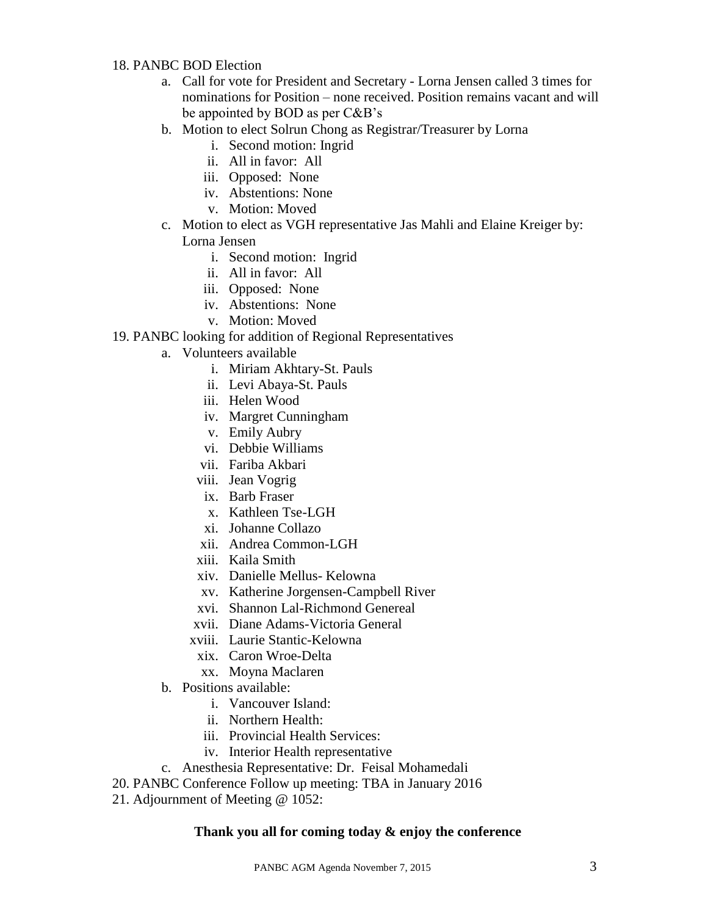#### 18. PANBC BOD Election

- a. Call for vote for President and Secretary Lorna Jensen called 3 times for nominations for Position – none received. Position remains vacant and will be appointed by BOD as per C&B's
- b. Motion to elect Solrun Chong as Registrar/Treasurer by Lorna
	- i. Second motion: Ingrid
	- ii. All in favor: All
	- iii. Opposed: None
	- iv. Abstentions: None
	- v. Motion: Moved
- c. Motion to elect as VGH representative Jas Mahli and Elaine Kreiger by:
	- Lorna Jensen
		- i. Second motion: Ingrid
		- ii. All in favor: All
		- iii. Opposed: None
		- iv. Abstentions: None
		- v. Motion: Moved
- 19. PANBC looking for addition of Regional Representatives
	- a. Volunteers available
		- i. Miriam Akhtary-St. Pauls
		- ii. Levi Abaya-St. Pauls
		- iii. Helen Wood
		- iv. Margret Cunningham
		- v. Emily Aubry
		- vi. Debbie Williams
		- vii. Fariba Akbari
		- viii. Jean Vogrig
		- ix. Barb Fraser
		- x. Kathleen Tse-LGH
		- xi. Johanne Collazo
		- xii. Andrea Common-LGH
		- xiii. Kaila Smith
		- xiv. Danielle Mellus- Kelowna
		- xv. Katherine Jorgensen-Campbell River
		- xvi. Shannon Lal-Richmond Genereal
		- xvii. Diane Adams-Victoria General
		- xviii. Laurie Stantic-Kelowna
			- xix. Caron Wroe-Delta
			- xx. Moyna Maclaren
	- b. Positions available:
		- i. Vancouver Island:
		- ii. Northern Health:
		- iii. Provincial Health Services:
		- iv. Interior Health representative
	- c. Anesthesia Representative: Dr. Feisal Mohamedali
- 20. PANBC Conference Follow up meeting: TBA in January 2016
- 21. Adjournment of Meeting @ 1052:

#### **Thank you all for coming today & enjoy the conference**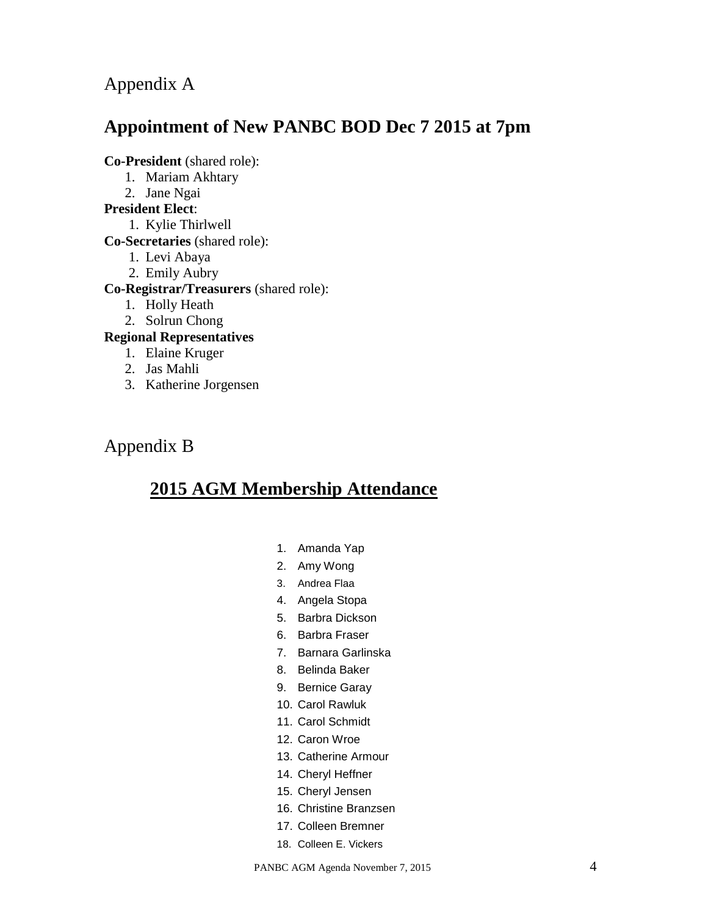Appendix A

# **Appointment of New PANBC BOD Dec 7 2015 at 7pm**

**Co-President** (shared role):

- 1. Mariam Akhtary
- 2. Jane Ngai

### **President Elect**:

1. Kylie Thirlwell

- **Co-Secretaries** (shared role):
	- 1. Levi Abaya
	- 2. Emily Aubry

### **Co-Registrar/Treasurers** (shared role):

- 1. Holly Heath
- 2. Solrun Chong

### **Regional Representatives**

- 1. Elaine Kruger
- 2. Jas Mahli
- 3. Katherine Jorgensen

# Appendix B

# **2015 AGM Membership Attendance**

- 1. Amanda Yap
- 2. Amy Wong
- 3. Andrea Flaa
- 4. Angela Stopa
- 5. Barbra Dickson
- 6. Barbra Fraser
- 7. Barnara Garlinska
- 8. Belinda Baker
- 9. Bernice Garay
- 10. Carol Rawluk
- 11. Carol Schmidt
- 12. Caron Wroe
- 13. Catherine Armour
- 14. Cheryl Heffner
- 15. Cheryl Jensen
- 16. Christine Branzsen
- 17. Colleen Bremner
- 18. Colleen E. Vickers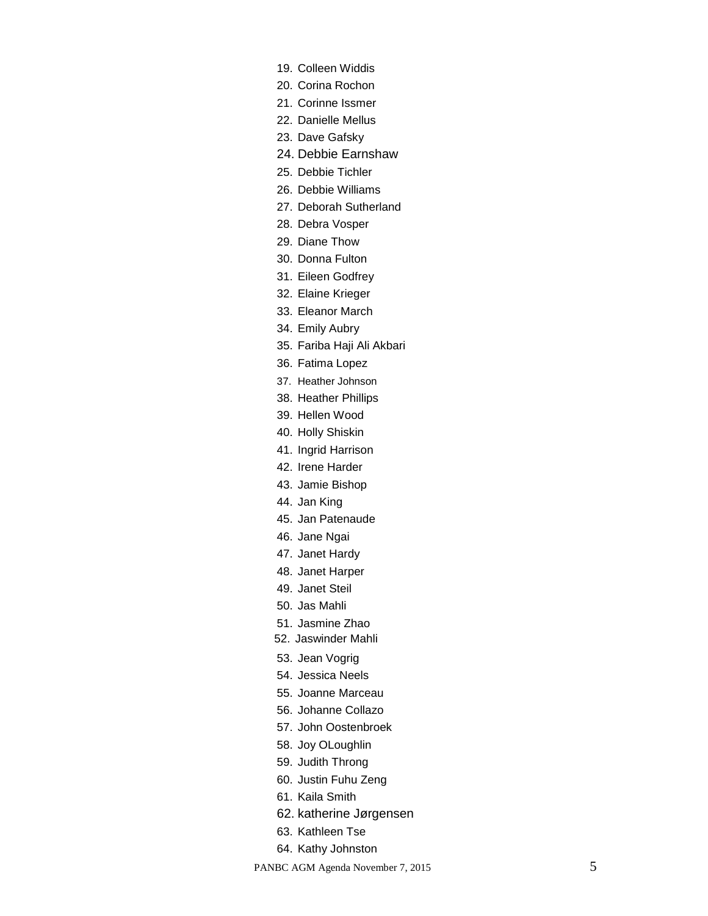- 19. Colleen Widdis
- 20. Corina Rochon
- 21. Corinne Issmer
- 22. Danielle Mellus
- 23. Dave Gafsky
- 24. Debbie Earnshaw
- 25. Debbie Tichler
- 26. Debbie Williams
- 27. Deborah Sutherland
- 28. Debra Vosper
- 29. Diane Thow
- 30. Donna Fulton
- 31. Eileen Godfrey
- 32. Elaine Krieger
- 33. Eleanor March
- 34. Emily Aubry
- 35. Fariba Haji Ali Akbari
- 36. Fatima Lopez
- 37. Heather Johnson
- 38. Heather Phillips
- 39. Hellen Wood
- 40. Holly Shiskin
- 41. Ingrid Harrison
- 42. Irene Harder
- 43. Jamie Bishop
- 44. Jan King
- 45. Jan Patenaude
- 46. Jane Ngai
- 47. Janet Hardy
- 48. Janet Harper
- 49. Janet Steil
- 50. Jas Mahli
- 51. Jasmine Zhao
- 52. Jaswinder Mahli
- 53. Jean Vogrig
- 54. Jessica Neels
- 55. Joanne Marceau
- 56. Johanne Collazo
- 57. John Oostenbroek
- 58. Joy OLoughlin
- 59. Judith Throng
- 60. Justin Fuhu Zeng
- 61. Kaila Smith
- 62. katherine Jørgensen
- 63. Kathleen Tse
- 64. Kathy Johnston

PANBC AGM Agenda November 7, 2015